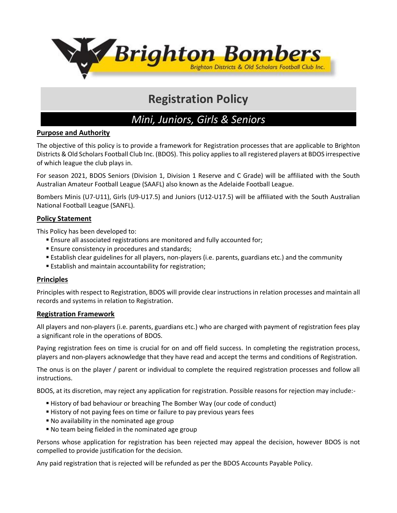

# **Registration Policy**

# *Mini, Juniors, Girls & Seniors*

#### **Purpose and Authority**

The objective of this policy is to provide a framework for Registration processes that are applicable to Brighton Districts & Old Scholars Football Club Inc. (BDOS). This policy applies to all registered players at BDOS irrespective of which league the club plays in.

For season 2021, BDOS Seniors (Division 1, Division 1 Reserve and C Grade) will be affiliated with the South Australian Amateur Football League (SAAFL) also known as the Adelaide Football League.

Bombers Minis (U7-U11), Girls (U9-U17.5) and Juniors (U12-U17.5) will be affiliated with the South Australian National Football League (SANFL).

#### **Policy Statement**

This Policy has been developed to:

- Ensure all associated registrations are monitored and fully accounted for;
- **Ensure consistency in procedures and standards;**
- Establish clear guidelines for all players, non-players (i.e. parents, guardians etc.) and the community
- Establish and maintain accountability for registration;

#### **Principles**

Principles with respect to Registration, BDOS will provide clear instructions in relation processes and maintain all records and systems in relation to Registration.

#### **Registration Framework**

All players and non-players (i.e. parents, guardians etc.) who are charged with payment of registration fees play a significant role in the operations of BDOS.

Paying registration fees on time is crucial for on and off field success. In completing the registration process, players and non-players acknowledge that they have read and accept the terms and conditions of Registration.

The onus is on the player / parent or individual to complete the required registration processes and follow all instructions.

BDOS, at its discretion, may reject any application for registration. Possible reasons for rejection may include:-

- History of bad behaviour or breaching The Bomber Way (our code of conduct)
- History of not paying fees on time or failure to pay previous years fees
- No availability in the nominated age group
- No team being fielded in the nominated age group

Persons whose application for registration has been rejected may appeal the decision, however BDOS is not compelled to provide justification for the decision.

Any paid registration that is rejected will be refunded as per the BDOS Accounts Payable Policy.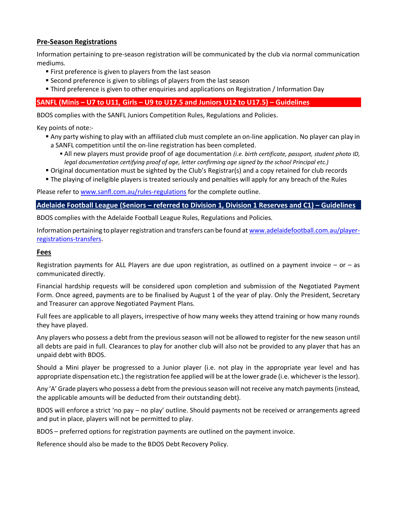### **Pre-Season Registrations**

Information pertaining to pre-season registration will be communicated by the club via normal communication mediums.

- **First preference is given to players from the last season**
- Second preference is given to siblings of players from the last season
- Third preference is given to other enquiries and applications on Registration / Information Day

## **SANFL (Minis – U7 to U11, Girls – U9 to U17.5 and Juniors U12 to U17.5) – Guidelines**

BDOS complies with the SANFL Juniors Competition Rules, Regulations and Policies.

Key points of note:-

- Any party wishing to play with an affiliated club must complete an on-line application. No player can play in a SANFL competition until the on-line registration has been completed.
	- All new players must provide proof of age documentation *(i.e. birth certificate, passport, student photo ID, legal documentation certifying proof of age, letter confirming age signed by the school Principal etc.)*
- Original documentation must be sighted by the Club's Registrar(s) and a copy retained for club records
- The playing of ineligible players is treated seriously and penalties will apply for any breach of the Rules

Please refer to [www.sanfl.com.au/rules-regulations](http://www.sanfl.com.au/rules-regulations) for the complete outline.

#### **Adelaide Football League (Seniors – referred to Division 1, Division 1 Reserves and C1) – Guidelines**

BDOS complies with the Adelaide Football League Rules, Regulations and Policies.

Information pertaining to player registration and transfers can be found at [www.adelaidefootball.com.au/player](http://www.adelaidefootball.com.au/player-registrations-transfers)[registrations-transfers.](http://www.adelaidefootball.com.au/player-registrations-transfers)

#### **Fees**

Registration payments for ALL Players are due upon registration, as outlined on a payment invoice  $-$  or  $-$  as communicated directly.

Financial hardship requests will be considered upon completion and submission of the Negotiated Payment Form. Once agreed, payments are to be finalised by August 1 of the year of play. Only the President, Secretary and Treasurer can approve Negotiated Payment Plans.

Full fees are applicable to all players, irrespective of how many weeks they attend training or how many rounds they have played.

Any players who possess a debt from the previous season will not be allowed to register for the new season until all debts are paid in full. Clearances to play for another club will also not be provided to any player that has an unpaid debt with BDOS.

Should a Mini player be progressed to a Junior player (i.e. not play in the appropriate year level and has appropriate dispensation etc.) the registration fee applied will be at the lower grade (i.e. whichever is the lessor).

Any 'A' Grade players who possess a debt from the previous season will not receive any match payments (instead, the applicable amounts will be deducted from their outstanding debt).

BDOS will enforce a strict 'no pay – no play' outline. Should payments not be received or arrangements agreed and put in place, players will not be permitted to play.

BDOS – preferred options for registration payments are outlined on the payment invoice.

Reference should also be made to the BDOS Debt Recovery Policy.